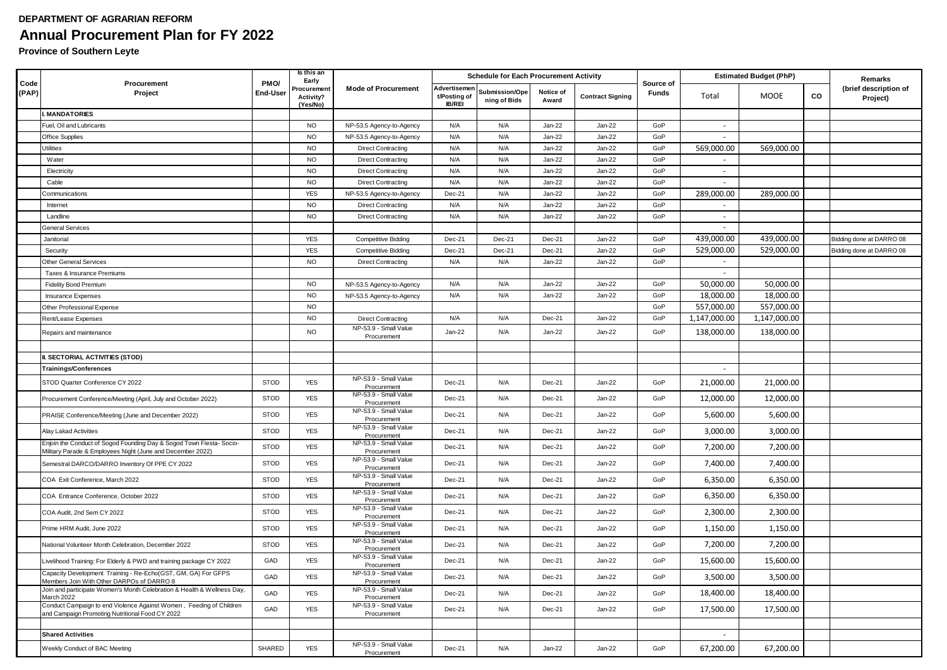## **DEPARTMENT OF AGRARIAN REFORM Annual Procurement Plan for FY 2022**

**Province of Southern Leyte**

|               | Procurement<br>Project                                                                                                             | PMO/<br>End-User | Is this an<br>Early<br>Procurement<br>Activity?<br>(Yes/No) | <b>Mode of Procurement</b>                                    | <b>Schedule for Each Procurement Activity</b> |                                |                    |                         |                           | <b>Estimated Budget (PhP)</b> |              |    | Remarks                           |
|---------------|------------------------------------------------------------------------------------------------------------------------------------|------------------|-------------------------------------------------------------|---------------------------------------------------------------|-----------------------------------------------|--------------------------------|--------------------|-------------------------|---------------------------|-------------------------------|--------------|----|-----------------------------------|
| Code<br>(PAP) |                                                                                                                                    |                  |                                                             |                                                               | Advertisemen<br>t/Posting of<br><b>IB/REI</b> | Submission/Ope<br>ning of Bids | Notice of<br>Award | <b>Contract Signing</b> | Source of<br><b>Funds</b> | Total                         | <b>MOOE</b>  | CO | (brief description of<br>Project) |
|               | <b>MANDATORIES</b>                                                                                                                 |                  |                                                             |                                                               |                                               |                                |                    |                         |                           |                               |              |    |                                   |
|               | Fuel, Oil and Lubricants                                                                                                           |                  | <b>NO</b>                                                   | NP-53.5 Agency-to-Agency                                      | N/A                                           | N/A                            | Jan-22             | Jan-22                  | GoP                       | $\sim$                        |              |    |                                   |
|               | <b>Office Supplies</b>                                                                                                             |                  | <b>NO</b>                                                   | NP-53.5 Agency-to-Agency                                      | N/A                                           | N/A                            | $Jan-22$           | Jan-22                  | GoP                       | $\mathcal{L}_{\mathcal{A}}$   |              |    |                                   |
|               | Utilities                                                                                                                          |                  | <b>NO</b>                                                   | <b>Direct Contracting</b>                                     | N/A                                           | N/A                            | $Jan-22$           | Jan-22                  | GoP                       | 569,000.00                    | 569,000.00   |    |                                   |
|               | Water                                                                                                                              |                  | <b>NO</b>                                                   | <b>Direct Contracting</b>                                     | N/A                                           | N/A                            | $Jan-22$           | $Jan-22$                | GoP                       | $\sim$                        |              |    |                                   |
|               | Electricity                                                                                                                        |                  | <b>NO</b>                                                   | <b>Direct Contracting</b>                                     | N/A                                           | N/A                            | $Jan-22$           | Jan-22                  | GoP                       | $\sim$                        |              |    |                                   |
|               | Cable                                                                                                                              |                  | <b>NO</b>                                                   | <b>Direct Contracting</b>                                     | N/A                                           | N/A                            | Jan-22             | Jan-22                  | GoP                       | $\sim$                        |              |    |                                   |
|               | <b>Communications</b>                                                                                                              |                  | <b>YES</b>                                                  | NP-53.5 Agency-to-Agency                                      | Dec-21                                        | N/A                            | Jan-22             | Jan-22                  | GoP                       | 289,000.00                    | 289,000.00   |    |                                   |
|               | Internet                                                                                                                           |                  | <b>NO</b>                                                   | <b>Direct Contracting</b>                                     | N/A                                           | N/A                            | $Jan-22$           | Jan-22                  | GoP                       |                               |              |    |                                   |
|               | Landline                                                                                                                           |                  | <b>NO</b>                                                   | <b>Direct Contracting</b>                                     | N/A                                           | N/A                            | $Jan-22$           | Jan-22                  | GoP                       | $\sim$                        |              |    |                                   |
|               | <b>General Services</b>                                                                                                            |                  |                                                             |                                                               |                                               |                                |                    |                         |                           | $\sim$                        |              |    |                                   |
|               | Janitorial                                                                                                                         |                  | <b>YES</b>                                                  | <b>Competitive Bidding</b>                                    | Dec-21                                        | Dec-21                         | Dec-21             | Jan-22                  | GoP                       | 439,000.00                    | 439,000.00   |    | Bidding done at DARRO 08          |
|               | Security                                                                                                                           |                  | <b>YES</b>                                                  | <b>Competitive Bidding</b>                                    | Dec-21                                        | Dec-21                         | <b>Dec-21</b>      | Jan-22                  | GoP                       | 529,000.00                    | 529,000.00   |    | Bidding done at DARRO 08          |
|               | Other General Services                                                                                                             |                  | <b>NO</b>                                                   | <b>Direct Contracting</b>                                     | N/A                                           | N/A                            | $Jan-22$           | $Jan-22$                | GoP                       | $\sim$                        |              |    |                                   |
|               | Taxes & Insurance Premiums                                                                                                         |                  |                                                             |                                                               |                                               |                                |                    |                         |                           | $\sim$                        |              |    |                                   |
|               | <b>Fidelity Bond Premium</b>                                                                                                       |                  | <b>NO</b>                                                   | NP-53.5 Agency-to-Agency                                      | N/A                                           | N/A                            | $Jan-22$           | Jan-22                  | GoP                       | 50,000.00                     | 50,000.00    |    |                                   |
|               | <b>Insurance Expenses</b>                                                                                                          |                  | <b>NO</b>                                                   | NP-53.5 Agency-to-Agency                                      | N/A                                           | N/A                            | Jan-22             | Jan-22                  | GoP                       | 18,000.00                     | 18,000.00    |    |                                   |
|               | Other Professional Expense                                                                                                         |                  | <b>NO</b>                                                   |                                                               |                                               |                                |                    |                         | GoP                       | 557,000.00                    | 557,000.00   |    |                                   |
|               | Rent/Lease Expenses                                                                                                                |                  | <b>NO</b>                                                   | <b>Direct Contracting</b>                                     | N/A                                           | N/A                            | Dec-21             | Jan-22                  | GoP                       | 1,147,000.00                  | 1,147,000.00 |    |                                   |
|               | Repairs and maintenance                                                                                                            |                  | <b>NO</b>                                                   | NP-53.9 - Small Value<br>Procurement                          | Jan-22                                        | N/A                            | $Jan-22$           | Jan-22                  | GoP                       | 138,000.00                    | 138,000.00   |    |                                   |
|               |                                                                                                                                    |                  |                                                             |                                                               |                                               |                                |                    |                         |                           |                               |              |    |                                   |
|               | II. SECTORIAL ACTIVITIES (STOD)                                                                                                    |                  |                                                             |                                                               |                                               |                                |                    |                         |                           |                               |              |    |                                   |
|               | <b>Trainings/Conferences</b>                                                                                                       |                  |                                                             |                                                               |                                               |                                |                    |                         |                           | $\sim$                        |              |    |                                   |
|               | STOD Quarter Conference CY 2022                                                                                                    | <b>STOD</b>      | <b>YES</b>                                                  | NP-53.9 - Small Value<br>Procurement<br>NP-53.9 - Small Value | Dec-21                                        | N/A                            | Dec-21             | Jan-22                  | GoP                       | 21,000.00                     | 21,000.00    |    |                                   |
|               | Procurement Conference/Meeting (April, July and October 2022)                                                                      | <b>STOD</b>      | <b>YES</b>                                                  | Procurement<br>NP-53.9 - Small Value                          | Dec-21                                        | N/A                            | Dec-21             | Jan-22                  | GoP                       | 12,000.00                     | 12,000.00    |    |                                   |
|               | PRAISE Conference/Meeting (June and December 2022)                                                                                 | <b>STOD</b>      | <b>YES</b>                                                  | Procurement                                                   | <b>Dec-21</b>                                 | N/A                            | Dec-21             | Jan-22                  | GoP                       | 5,600.00                      | 5,600.00     |    |                                   |
|               | Alay Lakad Activities                                                                                                              | <b>STOD</b>      | <b>YES</b>                                                  | NP-53.9 - Small Value<br>Procurement                          | Dec-21                                        | N/A                            | Dec-21             | Jan-22                  | GoP                       | 3,000.00                      | 3,000.00     |    |                                   |
|               | Enjoin the Conduct of Sogod Founding Day & Sogod Town Fiesta- Socio-<br>Military Parade & Employees Night (June and December 2022) | <b>STOD</b>      | <b>YES</b>                                                  | NP-53.9 - Small Value<br>Procurement<br>NP-53.9 - Small Value | Dec-21                                        | N/A                            | Dec-21             | Jan-22                  | GoP                       | 7,200.00                      | 7,200.00     |    |                                   |
|               | Semestral DARCO/DARRO Inventory Of PPE CY 2022                                                                                     | <b>STOD</b>      | <b>YES</b>                                                  | Procurement                                                   | Dec-21                                        | N/A                            | Dec-21             | Jan-22                  | GoP                       | 7,400.00                      | 7,400.00     |    |                                   |
|               | COA Exit Conference, March 2022                                                                                                    | <b>STOD</b>      | <b>YES</b>                                                  | NP-53.9 - Small Value<br>Procurement                          | Dec-21                                        | N/A                            | Dec-21             | Jan-22                  | GoP                       | 6,350.00                      | 6,350.00     |    |                                   |
|               | COA Entrance Conference, October 2022                                                                                              | <b>STOD</b>      | <b>YES</b>                                                  | NP-53.9 - Small Value<br>Procurement                          | <b>Dec-21</b>                                 | N/A                            | Dec-21             | Jan-22                  | GoP                       | 6,350.00                      | 6,350.00     |    |                                   |
|               | COA Audit, 2nd Sem CY 2022                                                                                                         | <b>STOD</b>      | <b>YES</b>                                                  | NP-53.9 - Small Value<br>Procurement                          | Dec-21                                        | N/A                            | Dec-21             | Jan-22                  | GoP                       | 2,300.00                      | 2,300.00     |    |                                   |
|               | Prime HRM Audit, June 2022                                                                                                         | <b>STOD</b>      | <b>YES</b>                                                  | NP-53.9 - Small Value<br>Procurement                          | Dec-21                                        | N/A                            | Dec-21             | Jan-22                  | GoP                       | 1,150.00                      | 1,150.00     |    |                                   |
|               | National Volunteer Month Celebration, December 2022                                                                                | <b>STOD</b>      | <b>YES</b>                                                  | NP-53.9 - Small Value<br>Procurement                          | Dec-21                                        | N/A                            | Dec-21             | Jan-22                  | GoP                       | 7,200.00                      | 7,200.00     |    |                                   |
|               | Livelihood Training: For Elderly & PWD and training package CY 2022                                                                | GAD              | <b>YES</b>                                                  | NP-53.9 - Small Value<br>Procurement                          | Dec-21                                        | N/A                            | Dec-21             | Jan-22                  | GoP                       | 15,600.00                     | 15,600.00    |    |                                   |
|               | Capacity Development Training - Re-Echo(GST, GM, GA) For GFPS<br>Members Join With Other DARPOs of DARRO 8                         | GAD              | YES                                                         | NP-53.9 - Small Value<br>Procurement                          | Dec-21                                        | N/A                            | Dec-21             | Jan-22                  | GoP                       | 3,500.00                      | 3,500.00     |    |                                   |
|               | Join and participate Women's Month Celebration & Health & Wellness Day,<br>March 2022                                              | GAD              | <b>YES</b>                                                  | NP-53.9 - Small Value<br>Procurement                          | Dec-21                                        | N/A                            | Dec-21             | Jan-22                  | GoP                       | 18,400.00                     | 18,400.00    |    |                                   |
|               | Conduct Campaign to end Violence Against Women, Feeding of Children<br>and Campaign Promoting Nutritional Food CY 2022             | GAD              | <b>YES</b>                                                  | NP-53.9 - Small Value<br>Procurement                          | Dec-21                                        | N/A                            | Dec-21             | $Jan-22$                | GoP                       | 17,500.00                     | 17,500.00    |    |                                   |
|               |                                                                                                                                    |                  |                                                             |                                                               |                                               |                                |                    |                         |                           |                               |              |    |                                   |
|               | <b>Shared Activities</b>                                                                                                           |                  |                                                             |                                                               |                                               |                                |                    |                         |                           |                               |              |    |                                   |
|               | Weekly Conduct of BAC Meeting                                                                                                      | <b>SHARED</b>    | <b>YES</b>                                                  | NP-53.9 - Small Value<br>Procurement                          | Dec-21                                        | N/A                            | $Jan-22$           | $Jan-22$                | GoP                       | 67,200.00                     | 67,200.00    |    |                                   |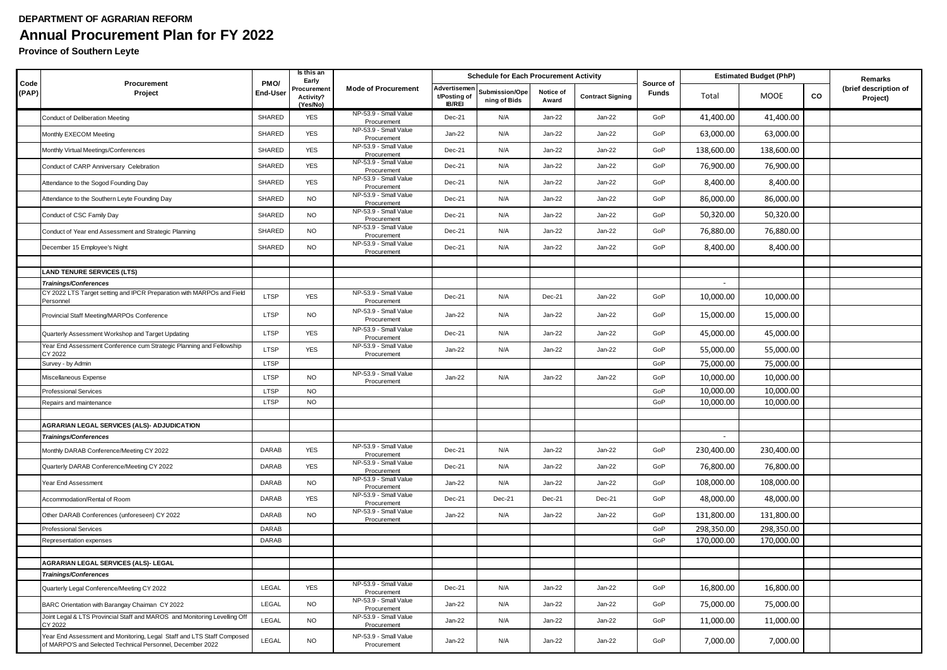## **DEPARTMENT OF AGRARIAN REFORM Annual Procurement Plan for FY 2022**

**Province of Southern Leyte**

|               | Procurement<br>Project                                                                                                               | PMO/<br>End-User | Is this an<br>Early                  |                                      |                                               | <b>Schedule for Each Procurement Activity</b> |                    |                         | Source of<br><b>Funds</b> | <b>Estimated Budget (PhP)</b> |             |    | Remarks                           |
|---------------|--------------------------------------------------------------------------------------------------------------------------------------|------------------|--------------------------------------|--------------------------------------|-----------------------------------------------|-----------------------------------------------|--------------------|-------------------------|---------------------------|-------------------------------|-------------|----|-----------------------------------|
| Code<br>(PAP) |                                                                                                                                      |                  | 'rocurement<br>Activity?<br>(Yes/No) | <b>Mode of Procurement</b>           | Advertisemen<br>t/Posting of<br><b>IB/REI</b> | Submission/Ope<br>ning of Bids                | Notice of<br>Award | <b>Contract Signing</b> |                           | Total                         | <b>MOOE</b> | CO | (brief description of<br>Project) |
|               | <b>Conduct of Deliberation Meeting</b>                                                                                               | SHARED           | <b>YES</b>                           | NP-53.9 - Small Value<br>Procurement | Dec-21                                        | N/A                                           | Jan-22             | Jan-22                  | GoP                       | 41,400.00                     | 41,400.00   |    |                                   |
|               | Monthly EXECOM Meeting                                                                                                               | SHARED           | <b>YES</b>                           | NP-53.9 - Small Value<br>Procurement | Jan-22                                        | N/A                                           | Jan-22             | $Jan-22$                | GoP                       | 63,000.00                     | 63,000.00   |    |                                   |
|               | Monthly Virtual Meetings/Conferences                                                                                                 | SHARED           | <b>YES</b>                           | NP-53.9 - Small Value<br>Procurement | Dec-21                                        | N/A                                           | Jan-22             | $Jan-22$                | GoP                       | 138,600.00                    | 138,600.00  |    |                                   |
|               | Conduct of CARP Anniversary Celebration                                                                                              | SHARED           | <b>YES</b>                           | NP-53.9 - Small Value<br>Procurement | Dec-21                                        | N/A                                           | Jan-22             | $Jan-22$                | GoP                       | 76,900.00                     | 76,900.00   |    |                                   |
|               | Attendance to the Sogod Founding Day                                                                                                 | SHARED           | <b>YES</b>                           | NP-53.9 - Small Value<br>Procurement | Dec-21                                        | N/A                                           | Jan-22             | Jan-22                  | GoP                       | 8,400.00                      | 8,400.00    |    |                                   |
|               | Attendance to the Southern Leyte Founding Day                                                                                        | SHARED           | <b>NO</b>                            | NP-53.9 - Small Value<br>Procurement | Dec-21                                        | N/A                                           | Jan-22             | $Jan-22$                | GoP                       | 86,000.00                     | 86,000.00   |    |                                   |
|               | Conduct of CSC Family Day                                                                                                            | SHARED           | <b>NO</b>                            | NP-53.9 - Small Value<br>Procurement | Dec-21                                        | N/A                                           | Jan-22             | Jan-22                  | GoP                       | 50,320.00                     | 50,320.00   |    |                                   |
|               | Conduct of Year end Assessment and Strategic Planning                                                                                | SHARED           | <b>NO</b>                            | NP-53.9 - Small Value                | Dec-21                                        | N/A                                           | Jan-22             | $Jan-22$                | GoP                       | 76,880.00                     | 76,880.00   |    |                                   |
|               | December 15 Employee's Night                                                                                                         | SHARED           | <b>NO</b>                            | Procurement<br>NP-53.9 - Small Value | Dec-21                                        | N/A                                           | Jan-22             | Jan-22                  | GoP                       | 8,400.00                      | 8,400.00    |    |                                   |
|               |                                                                                                                                      |                  |                                      | Procurement                          |                                               |                                               |                    |                         |                           |                               |             |    |                                   |
|               | <b>LAND TENURE SERVICES (LTS)</b>                                                                                                    |                  |                                      |                                      |                                               |                                               |                    |                         |                           |                               |             |    |                                   |
|               | <b>Trainings/Conferences</b>                                                                                                         |                  |                                      |                                      |                                               |                                               |                    |                         |                           | $\blacksquare$                |             |    |                                   |
|               | CY 2022 LTS Target setting and IPCR Preparation with MARPOs and Field<br>Personnel                                                   | LTSP             | <b>YES</b>                           | NP-53.9 - Small Value<br>Procurement | Dec-21                                        | N/A                                           | Dec-21             | $Jan-22$                | GoP                       | 10,000.00                     | 10,000.00   |    |                                   |
|               | Provincial Staff Meeting/MARPOs Conference                                                                                           | LTSP             | <b>NO</b>                            | NP-53.9 - Small Value<br>Procurement | Jan-22                                        | N/A                                           | Jan-22             | $Jan-22$                | GoP                       | 15,000.00                     | 15,000.00   |    |                                   |
|               | Quarterly Assessment Workshop and Target Updating                                                                                    | <b>LTSP</b>      | <b>YES</b>                           | NP-53.9 - Small Value<br>Procurement | Dec-21                                        | N/A                                           | Jan-22             | $Jan-22$                | GoP                       | 45,000.00                     | 45,000.00   |    |                                   |
|               | Year End Assessment Conference cum Strategic Planning and Fellowship<br>CY 2022                                                      | LTSP             | <b>YES</b>                           | NP-53.9 - Small Value<br>Procurement | Jan-22                                        | N/A                                           | Jan-22             | Jan-22                  | GoP                       | 55,000.00                     | 55,000.00   |    |                                   |
|               | Survey - by Admin                                                                                                                    | <b>LTSP</b>      |                                      |                                      |                                               |                                               |                    |                         | GoP                       | 75,000.00                     | 75,000.00   |    |                                   |
|               | Miscellaneous Expense                                                                                                                | LTSP             | <b>NO</b>                            | NP-53.9 - Small Value<br>Procurement | Jan-22                                        | N/A                                           | Jan-22             | $Jan-22$                | GoP                       | 10,000.00                     | 10,000.00   |    |                                   |
|               | <b>Professional Services</b>                                                                                                         | LTSP             | <b>NO</b>                            |                                      |                                               |                                               |                    |                         | GoP                       | 10,000.00                     | 10,000.00   |    |                                   |
|               | Repairs and maintenance                                                                                                              | <b>LTSP</b>      | <b>NO</b>                            |                                      |                                               |                                               |                    |                         | GoP                       | 10,000.00                     | 10,000.00   |    |                                   |
|               | AGRARIAN LEGAL SERVICES (ALS)- ADJUDICATION                                                                                          |                  |                                      |                                      |                                               |                                               |                    |                         |                           |                               |             |    |                                   |
|               | <b>Trainings/Conferences</b>                                                                                                         |                  |                                      |                                      |                                               |                                               |                    |                         |                           | $\sim$                        |             |    |                                   |
|               | Monthly DARAB Conference/Meeting CY 2022                                                                                             | <b>DARAB</b>     | <b>YES</b>                           | NP-53.9 - Small Value                | Dec-21                                        | N/A                                           | Jan-22             | Jan-22                  | GoP                       | 230,400.00                    | 230,400.00  |    |                                   |
|               | Quarterly DARAB Conference/Meeting CY 2022                                                                                           | <b>DARAB</b>     | <b>YES</b>                           | Procurement<br>NP-53.9 - Small Value | Dec-21                                        | N/A                                           | Jan-22             | $Jan-22$                | GoP                       | 76,800.00                     | 76,800.00   |    |                                   |
|               | Year End Assessment                                                                                                                  | DARAB            | <b>NO</b>                            | Procurement<br>NP-53.9 - Small Value | $Jan-22$                                      | N/A                                           | Jan-22             | $Jan-22$                | GoP                       | 108,000.00                    | 108,000.00  |    |                                   |
|               | Accommodation/Rental of Room                                                                                                         | DARAB            | <b>YES</b>                           | Procurement<br>NP-53.9 - Small Value | Dec-21                                        | Dec-21                                        | Dec-21             | Dec-21                  | GoP                       | 48,000.00                     | 48,000.00   |    |                                   |
|               | Other DARAB Conferences (unforeseen) CY 2022                                                                                         | DARAB            | <b>NO</b>                            | Procurement<br>NP-53.9 - Small Value | Jan-22                                        | N/A                                           | Jan-22             | Jan-22                  | GoP                       | 131,800.00                    | 131,800.00  |    |                                   |
|               | <b>Professional Services</b>                                                                                                         | <b>DARAB</b>     |                                      | Procurement                          |                                               |                                               |                    |                         | GoP                       | 298,350.00                    | 298,350.00  |    |                                   |
|               | Representation expenses                                                                                                              | <b>DARAB</b>     |                                      |                                      |                                               |                                               |                    |                         | GoP                       | 170,000.00                    | 170,000.00  |    |                                   |
|               |                                                                                                                                      |                  |                                      |                                      |                                               |                                               |                    |                         |                           |                               |             |    |                                   |
|               | <b>AGRARIAN LEGAL SERVICES (ALS)- LEGAL</b>                                                                                          |                  |                                      |                                      |                                               |                                               |                    |                         |                           |                               |             |    |                                   |
|               | <b>Trainings/Conferences</b>                                                                                                         |                  |                                      |                                      |                                               |                                               |                    |                         |                           |                               |             |    |                                   |
|               | Quarterly Legal Conference/Meeting CY 2022                                                                                           | LEGAL            | <b>YES</b>                           | NP-53.9 - Small Value<br>Procurement | Dec-21                                        | N/A                                           | Jan-22             | $Jan-22$                | GoP                       | 16,800.00                     | 16,800.00   |    |                                   |
|               | BARC Orientation with Barangay Chaiman CY 2022                                                                                       | LEGAL            | <b>NO</b>                            | NP-53.9 - Small Value<br>Procurement | Jan-22                                        | N/A                                           | Jan-22             | Jan-22                  | GoP                       | 75,000.00                     | 75,000.00   |    |                                   |
|               | Joint Legal & LTS Provincial Staff and MAROS and Monitoring Levelling Of<br>CY 2022                                                  | LEGAL            | <b>NO</b>                            | NP-53.9 - Small Value<br>Procurement | Jan-22                                        | N/A                                           | Jan-22             | $Jan-22$                | GoP                       | 11,000.00                     | 11,000.00   |    |                                   |
|               | Year End Assessment and Monitoring, Legal Staff and LTS Staff Composed<br>of MARPO'S and Selected Technical Personnel, December 2022 | LEGAL            | <b>NO</b>                            | NP-53.9 - Small Value<br>Procurement | $Jan-22$                                      | N/A                                           | $Jan-22$           | $Jan-22$                | GoP                       | 7,000.00                      | 7,000.00    |    |                                   |